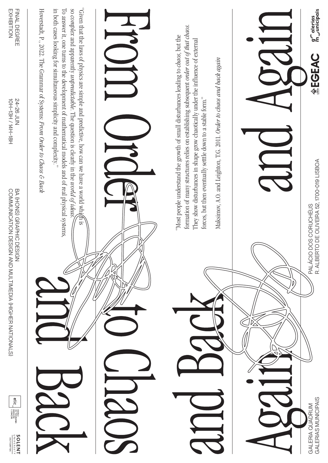